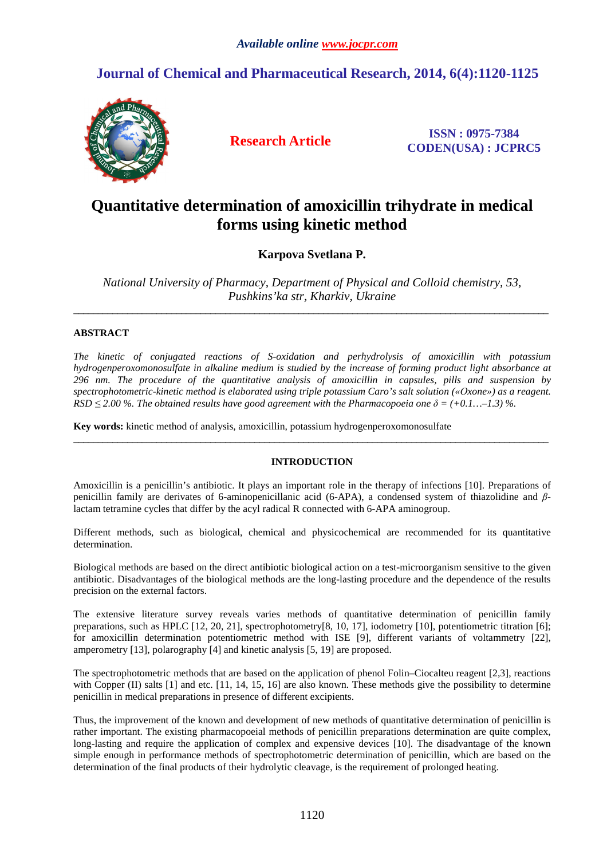# **Journal of Chemical and Pharmaceutical Research, 2014, 6(4):1120-1125**



**Research Article ISSN : 0975-7384 CODEN(USA) : JCPRC5**

# **Quantitative determination of amoxicillin trihydrate in medical forms using kinetic method**

**Karpova Svetlana P.** 

*National University of Pharmacy, Department of Physical and Colloid chemistry, 53, Pushkins'ka str, Kharkiv, Ukraine*  \_\_\_\_\_\_\_\_\_\_\_\_\_\_\_\_\_\_\_\_\_\_\_\_\_\_\_\_\_\_\_\_\_\_\_\_\_\_\_\_\_\_\_\_\_\_\_\_\_\_\_\_\_\_\_\_\_\_\_\_\_\_\_\_\_\_\_\_\_\_\_\_\_\_\_\_\_\_\_\_\_\_\_\_\_\_\_\_\_\_\_\_\_\_\_\_\_

# **ABSTRACT**

*The kinetic of conjugated reactions of S-oxidation and perhydrolysis of amoxicillin with potassium hydrogenperoxomonosulfate in alkaline medium is studied by the increase of forming product light absorbance at 296 nm. The procedure of the quantitative analysis of amoxicillin in capsules, pills and suspension by spectrophotometric-kinetic method is elaborated using triple potassium Caro's salt solution («Оxone») as a reagent.*   $RSD \leq 2.00$  %. The obtained results have good agreement with the Pharmacopoeia one  $\delta = (+0.1....-1.3)$  %.

**Key words:** kinetic method of analysis, amoxicillin, potassium hydrogenperoxomonosulfate

# **INTRODUCTION**

\_\_\_\_\_\_\_\_\_\_\_\_\_\_\_\_\_\_\_\_\_\_\_\_\_\_\_\_\_\_\_\_\_\_\_\_\_\_\_\_\_\_\_\_\_\_\_\_\_\_\_\_\_\_\_\_\_\_\_\_\_\_\_\_\_\_\_\_\_\_\_\_\_\_\_\_\_\_\_\_\_\_\_\_\_\_\_\_\_\_\_\_\_\_\_\_\_

Amoxicillin is a penicillin's antibiotic. It plays an important role in the therapy of infections [10]. Preparations of penicillin family are derivates of 6-aminopenicillanic acid (6-APA), a condensed system of thiazolidine and *β*lactam tetramine cycles that differ by the acyl radical R connected with 6-APA aminogroup.

Different methods, such as biological, chemical and physicochemical are recommended for its quantitative determination.

Biological methods are based on the direct antibiotic biological action on a test-microorganism sensitive to the given antibiotic. Disadvantages of the biological methods are the long-lasting procedure and the dependence of the results precision on the external factors.

The extensive literature survey reveals varies methods of quantitative determination of penicillin family preparations, such as HPLC [12, 20, 21], spectrophotometry[8, 10, 17], iodometry [10], potentiometric titration [6]; for amoxicillin determination potentiometric method with ISE [9], different variants of voltammetry [22], amperometry [13], polarography [4] and kinetic analysis [5, 19] are proposed.

The spectrophotometric methods that are based on the application of phenol Folin–Ciocalteu reagent [2,3], reactions with Copper (II) salts [1] and etc. [11, 14, 15, 16] are also known. These methods give the possibility to determine penicillin in medical preparations in presence of different excipients.

Thus, the improvement of the known and development of new methods of quantitative determination of penicillin is rather important. The existing pharmacopoeial methods of penicillin preparations determination are quite complex, long-lasting and require the application of complex and expensive devices [10]. The disadvantage of the known simple enough in performance methods of spectrophotometric determination of penicillin, which are based on the determination of the final products of their hydrolytic cleavage, is the requirement of prolonged heating.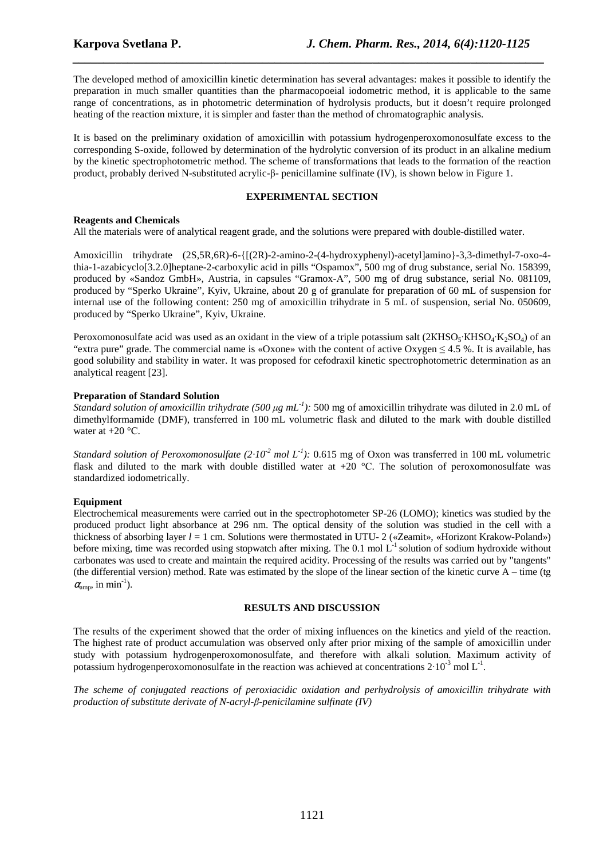The developed method of amoxicillin kinetic determination has several advantages: makes it possible to identify the preparation in much smaller quantities than the pharmacopoeial iodometric method, it is applicable to the same range of concentrations, as in photometric determination of hydrolysis products, but it doesn't require prolonged heating of the reaction mixture, it is simpler and faster than the method of chromatographic analysis.

*\_\_\_\_\_\_\_\_\_\_\_\_\_\_\_\_\_\_\_\_\_\_\_\_\_\_\_\_\_\_\_\_\_\_\_\_\_\_\_\_\_\_\_\_\_\_\_\_\_\_\_\_\_\_\_\_\_\_\_\_\_\_\_\_\_\_\_\_\_\_\_\_\_\_\_\_\_*

It is based on the preliminary oxidation of amoxicillin with potassium hydrogenperoxomonosulfate excess to the corresponding S-oxide, followed by determination of the hydrolytic conversion of its product in an alkaline medium by the kinetic spectrophotometric method. The scheme of transformations that leads to the formation of the reaction product, probably derived N-substituted acrylic-β- penicillamine sulfinate (IV), is shown below in Figure 1.

#### **EXPERIMENTAL SECTION**

## **Reagents and Chemicals**

All the materials were of analytical reagent grade, and the solutions were prepared with double-distilled water.

Amoxicillin trihydrate (2S,5R,6R)-6-{[(2R)-2-amino-2-(4-hydroxyphenyl)-acetyl]amino}-3,3-dimethyl-7-oxo-4 thia-1-azabicyclo[3.2.0]heptane-2-carboxylic acid in pills "Ospamox", 500 mg of drug substance, serial No. 158399, produced by «Sandoz GmbH», Austria, in capsules "Gramox-А", 500 mg of drug substance, serial No. 081109, produced by "Sperko Ukraine", Kyiv, Ukraine, about 20 g of granulate for preparation of 60 mL of suspension for internal use of the following content: 250 mg of amoxicillin trihydrate in 5 mL of suspension, serial No. 050609, produced by "Sperko Ukraine", Kyiv, Ukraine.

Peroxomonosulfate acid was used as an oxidant in the view of a triple potassium salt ( $2KHSO<sub>5</sub>·KHSO<sub>4</sub>·K<sub>2</sub>SO<sub>4</sub>$ ) of an "extra pure" grade. The commercial name is «Oxone» with the content of active Oxygen  $\leq 4.5$  %. It is available, has good solubility and stability in water. It was proposed for cefodraxil kinetic spectrophotometric determination as an analytical reagent [23].

## **Preparation of Standard Solution**

*Standard solution of amoxicillin trihydrate (500*  $\mu$ *g mL<sup>-1</sup>): 500 mg of amoxicillin trihydrate was diluted in 2.0 mL of* dimethylformamide (DMF), transferred in 100 mL volumetric flask and diluted to the mark with double distilled water at  $+20$  °C.

*Standard solution of Peroxomonosulfate*  $(2 \cdot 10^{-2} \text{ mol } L^{-1})$ : 0.615 mg of Oxon was transferred in 100 mL volumetric flask and diluted to the mark with double distilled water at  $+20$  °C. The solution of peroxomonosulfate was standardized iodometrically.

## **Equipment**

Electrochemical measurements were carried out in the spectrophotometer SP-26 (LOMO); kinetics was studied by the produced product light absorbance at 296 nm. The optical density of the solution was studied in the cell with a thickness of absorbing layer *l* = 1 cm. Solutions were thermostated in UTU- 2 («Zeamit», «Horizont Krakow-Poland») before mixing, time was recorded using stopwatch after mixing. The 0.1 mol  $L^{-1}$  solution of sodium hydroxide without carbonates was used to create and maintain the required acidity. Processing of the results was carried out by "tangents" (the differential version) method. Rate was estimated by the slope of the linear section of the kinetic curve  $A - time$  (tg)  $\alpha_{\text{amp}}$ , in min<sup>-1</sup>).

## **RESULTS AND DISCUSSION**

The results of the experiment showed that the order of mixing influences on the kinetics and yield of the reaction. The highest rate of product accumulation was observed only after prior mixing of the sample of amoxicillin under study with potassium hydrogenperoxomonosulfate, and therefore with alkali solution. Maximum activity of potassium hydrogenperoxomonosulfate in the reaction was achieved at concentrations  $2.10^{-3}$  mol L<sup>-1</sup>.

*The scheme of conjugated reactions of peroxiacidic oxidation and perhydrolysis of amoxicillin trihydrate with production of substitute derivate of N-acryl-β-penicilamine sulfinate (IV)*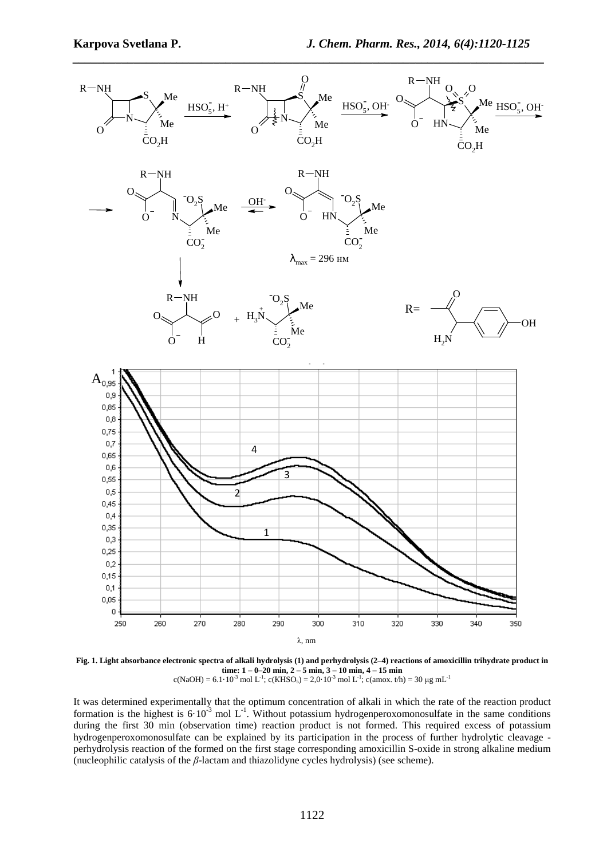

**Fig. 1. Light absorbance electronic spectra of alkali hydrolysis (1) and perhydrolysis (2–4) reactions of amoxicillin trihydrate product in time: 1 – 0–20 min, 2 – 5 min, 3 – 10 min, 4 – 15 min**<br>
c(NaOH) = 6.1·10<sup>-3</sup> mol L<sup>-1</sup>; c(KHSO<sub>5</sub>) = 2,0·10<sup>-3</sup> mol L<sup>-1</sup>; c(amox. t/h) = 30 µg mL<sup>-1</sup>

It was determined experimentally that the optimum concentration of alkali in which the rate of the reaction product formation is the highest is  $6·10<sup>-3</sup>$  mol L<sup>-1</sup>. Without potassium hydrogenperoxomonosulfate in the same conditions during the first 30 min (observation time) reaction product is not formed. This required excess of potassium hydrogenperoxomonosulfate can be explained by its participation in the process of further hydrolytic cleavage perhydrolysis reaction of the formed on the first stage corresponding amoxicillin S-oxide in strong alkaline medium (nucleophilic catalysis of the *β*-lactam and thiazolidyne cycles hydrolysis) (see scheme).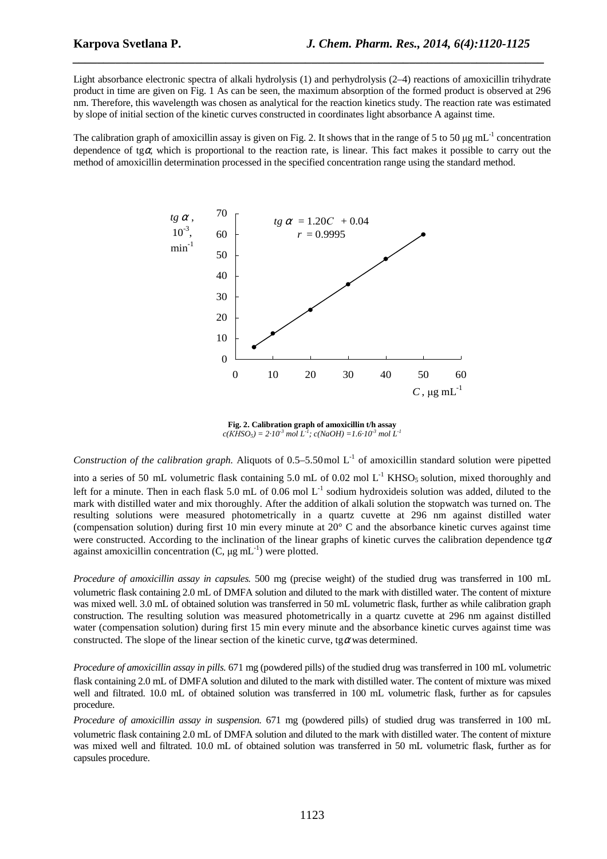Light absorbance electronic spectra of alkali hydrolysis (1) and perhydrolysis (2–4) reactions of amoxicillin trihydrate product in time are given on Fig. 1 As can be seen, the maximum absorption of the formed product is observed at 296 nm. Therefore, this wavelength was chosen as analytical for the reaction kinetics study. The reaction rate was estimated by slope of initial section of the kinetic curves constructed in coordinates light absorbance A against time.

*\_\_\_\_\_\_\_\_\_\_\_\_\_\_\_\_\_\_\_\_\_\_\_\_\_\_\_\_\_\_\_\_\_\_\_\_\_\_\_\_\_\_\_\_\_\_\_\_\_\_\_\_\_\_\_\_\_\_\_\_\_\_\_\_\_\_\_\_\_\_\_\_\_\_\_\_\_*

The calibration graph of amoxicillin assay is given on Fig. 2. It shows that in the range of 5 to 50  $\mu$ g mL<sup>-1</sup> concentration dependence of tg $\alpha$ , which is proportional to the reaction rate, is linear. This fact makes it possible to carry out the method of amoxicillin determination processed in the specified concentration range using the standard method.



**Fig. 2. Calibration graph of amoxicillin t/h assay**   $c(KHSO<sub>5</sub>) = 2 \cdot 10^{-3}$  mol  $L<sup>7</sup>$ ;  $c(NaOH) = 1.6 \cdot 10^{-3}$  mol  $L<sup>7</sup>$ 

*Construction of the calibration graph.* Aliquots of  $0.5-5.50$  mol L<sup>-1</sup> of amoxicillin standard solution were pipetted

into a series of 50 mL volumetric flask containing 5.0 mL of 0.02 mol  $L^{-1}$  KHSO<sub>5</sub> solution, mixed thoroughly and left for a minute. Then in each flask 5.0 mL of 0.06 mol L<sup>-1</sup> sodium hydroxideis solution was added, diluted to the mark with distilled water and mix thoroughly. After the addition of alkali solution the stopwatch was turned on. The resulting solutions were measured photometrically in a quartz cuvette at 296 nm against distilled water (compensation solution) during first 10 min every minute at  $20^{\circ}$  C and the absorbance kinetic curves against time were constructed. According to the inclination of the linear graphs of kinetic curves the calibration dependence tg $\alpha$ against amoxicillin concentration  $(C, \mu g \, mL^{-1})$  were plotted.

*Procedure of amoxicillin assay in capsules.* 500 mg (precise weight) of the studied drug was transferred in 100 mL volumetric flask containing 2.0 mL of DMFA solution and diluted to the mark with distilled water. The content of mixture was mixed well. 3.0 mL of obtained solution was transferred in 50 mL volumetric flask, further as while calibration graph construction. The resulting solution was measured photometrically in a quartz cuvette at 296 nm against distilled water (compensation solution) during first 15 min every minute and the absorbance kinetic curves against time was constructed. The slope of the linear section of the kinetic curve, tg $\alpha$  was determined.

*Procedure of amoxicillin assay in pills.* 671 mg (powdered pills) of the studied drug was transferred in 100 mL volumetric flask containing 2.0 mL of DMFA solution and diluted to the mark with distilled water. The content of mixture was mixed well and filtrated. 10.0 mL of obtained solution was transferred in 100 mL volumetric flask, further as for capsules procedure.

*Procedure of amoxicillin assay in suspension.* 671 mg (powdered pills) of studied drug was transferred in 100 mL volumetric flask containing 2.0 mL of DMFA solution and diluted to the mark with distilled water. The content of mixture was mixed well and filtrated. 10.0 mL of obtained solution was transferred in 50 mL volumetric flask, further as for capsules procedure.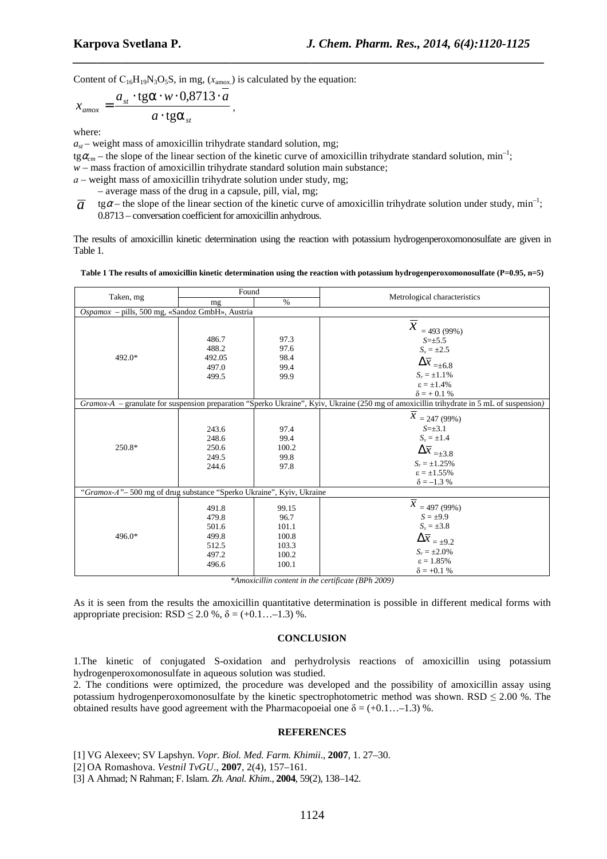Content of  $C_{16}H_{19}N_3O_5S$ , in mg,  $(x_{\text{amox}})$  is calculated by the equation:

$$
x_{\text{amox}} = \frac{a_{st} \cdot \text{tg}\alpha \cdot w \cdot 0.8713 \cdot a}{a \cdot \text{tg}\alpha_{st}}
$$

where:

 $a_{st}$  – weight mass of amoxicillin trihydrate standard solution, mg;

 $tg\alpha_{cm}$  – the slope of the linear section of the kinetic curve of amoxicillin trihydrate standard solution, min<sup>-1</sup>;

 $w$  – mass fraction of amoxicillin trihydrate standard solution main substance;

,

*а* – weight mass of amoxicillin trihydrate solution under study, mg;

– average mass of the drug in a capsule, pill, vial, mg;

tg $\alpha$  – the slope of the linear section of the kinetic curve of amoxicillin trihydrate solution under study, min<sup>-1</sup>; 0.8713 – conversation coefficient for amoxicillin anhydrous. *a*

*\_\_\_\_\_\_\_\_\_\_\_\_\_\_\_\_\_\_\_\_\_\_\_\_\_\_\_\_\_\_\_\_\_\_\_\_\_\_\_\_\_\_\_\_\_\_\_\_\_\_\_\_\_\_\_\_\_\_\_\_\_\_\_\_\_\_\_\_\_\_\_\_\_\_\_\_\_*

The results of amoxicillin kinetic determination using the reaction with potassium hydrogenperoxomonosulfate are given in Table 1.

| Table 1 The results of amoxicillin kinetic determination using the reaction with potassium hydrogenperoxomonosulfate $(P=0.95, n=5)$ |  |  |  |  |  |
|--------------------------------------------------------------------------------------------------------------------------------------|--|--|--|--|--|
|--------------------------------------------------------------------------------------------------------------------------------------|--|--|--|--|--|

| Taken, mg                                                             | Found                                                       |                                                            |                                                                                                                                                                                     |  |  |  |
|-----------------------------------------------------------------------|-------------------------------------------------------------|------------------------------------------------------------|-------------------------------------------------------------------------------------------------------------------------------------------------------------------------------------|--|--|--|
|                                                                       | mg                                                          | $\%$                                                       | Metrological characteristics                                                                                                                                                        |  |  |  |
| Ospamox - pills, 500 mg, «Sandoz GmbH», Austria                       |                                                             |                                                            |                                                                                                                                                                                     |  |  |  |
| 492.0*                                                                | 486.7<br>488.2<br>492.05<br>497.0<br>499.5                  | 97.3<br>97.6<br>98.4<br>99.4<br>99.9                       | $\overline{x}$<br>$= 493(99%)$<br>$S=\pm 5.5$<br>$S_x = \pm 2.5$<br>$\Delta\overline{x}_{\,=\pm6.8}$<br>$S_r = \pm 1.1\%$<br>$\epsilon = \pm 1.4\%$<br>$\delta$ = + 0.1 %           |  |  |  |
|                                                                       |                                                             |                                                            | Gramox-A - granulate for suspension preparation "Sperko Ukraine", Kyiv, Ukraine (250 mg of amoxicillin trihydrate in 5 mL of suspension)                                            |  |  |  |
| 250.8*                                                                | 243.6<br>248.6<br>250.6<br>249.5<br>244.6                   | 97.4<br>99.4<br>100.2<br>99.8<br>97.8                      | $\overline{\overline{x}}$ = 247 (99%)<br>$S=\pm 3.1$<br>$S_x = \pm 1.4$<br>$\Delta\overline{x}_{\,=\pm 3.8}$<br>$S_r = \pm 1.25\%$<br>$\epsilon = \pm 1.55\%$<br>$\delta = -1.3 \%$ |  |  |  |
| "Gramox-A" – 500 mg of drug substance "Sperko Ukraine", Kyiv, Ukraine |                                                             |                                                            |                                                                                                                                                                                     |  |  |  |
| 496.0*                                                                | 491.8<br>479.8<br>501.6<br>499.8<br>512.5<br>497.2<br>496.6 | 99.15<br>96.7<br>101.1<br>100.8<br>103.3<br>100.2<br>100.1 | $\overline{\overline{x}} = 497 (99\%)$<br>$S = \pm 9.9$<br>$S_x = \pm 3.8$<br>$\Delta \overline{x} = \pm 9.2$<br>$S_r = \pm 2.0\%$<br>$\epsilon = 1.85\%$<br>$\delta$ = +0.1 %      |  |  |  |

*\*Amoxicillin content in the certificate (BPh 2009)* 

As it is seen from the results the amoxicillin quantitative determination is possible in different medical forms with appropriate precision:  $RSD \leq 2.0$  %,  $\delta = (+0.1... -1.3)$  %.

#### **CONCLUSION**

1.The kinetic of conjugated S-oxidation and perhydrolysis reactions of amoxicillin using potassium hydrogenperoxomonosulfate in aqueous solution was studied.

2. The conditions were optimized, the procedure was developed and the possibility of amoxicillin assay using potassium hydrogenperoxomonosulfate by the kinetic spectrophotometric method was shown. RSD  $\leq 2.00$  %. The obtained results have good agreement with the Pharmacopoeial one  $\delta = (+0.1... -1.3)$ %.

#### **REFERENCES**

[1] VG Alexeev; SV Lapshyn. *Vopr. Biol. Med. Farm. Khimii*., **2007**, 1. 27–30.

[2] OA Romashova. *Vestnil TvGU*., **2007**, 2(4), 157–161.

[3] A Ahmad; N Rahman; F. Islam. *Zh. Anal. Khim*., **2004**, 59(2), 138–142.